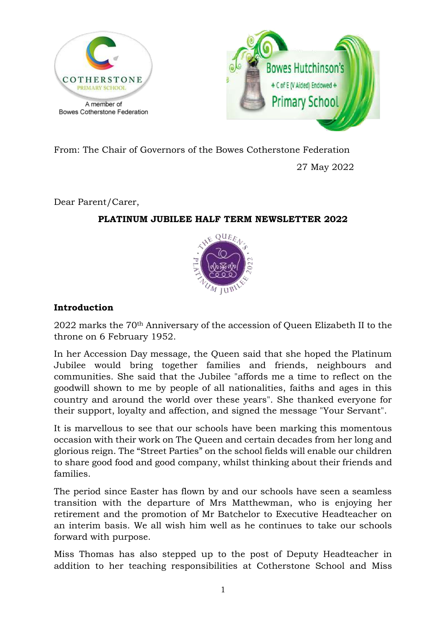



From: The Chair of Governors of the Bowes Cotherstone Federation

27 May 2022

Dear Parent/Carer,

## **PLATINUM JUBILEE HALF TERM NEWSLETTER 2022**



# **Introduction**

2022 marks the 70th Anniversary of the accession of Queen Elizabeth II to the throne on 6 February 1952.

In her Accession Day message, the Queen said that she hoped the Platinum Jubilee would bring together families and friends, neighbours and communities. She said that the Jubilee "affords me a time to reflect on the goodwill shown to me by people of all nationalities, faiths and ages in this country and around the world over these years". She thanked everyone for their support, loyalty and affection, and signed the message "Your Servant".

It is marvellous to see that our schools have been marking this momentous occasion with their work on The Queen and certain decades from her long and glorious reign. The "Street Parties" on the school fields will enable our children to share good food and good company, whilst thinking about their friends and families.

The period since Easter has flown by and our schools have seen a seamless transition with the departure of Mrs Matthewman, who is enjoying her retirement and the promotion of Mr Batchelor to Executive Headteacher on an interim basis. We all wish him well as he continues to take our schools forward with purpose.

Miss Thomas has also stepped up to the post of Deputy Headteacher in addition to her teaching responsibilities at Cotherstone School and Miss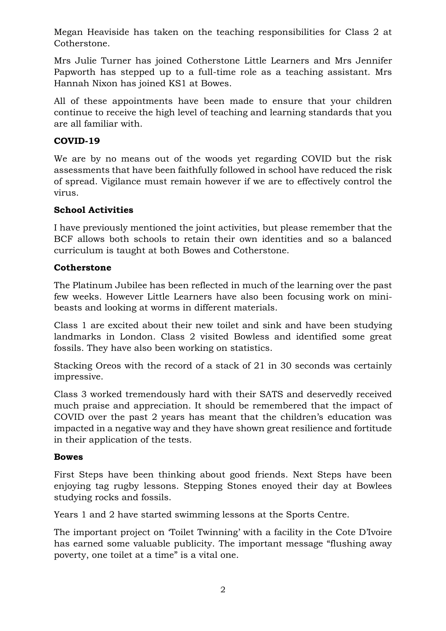Megan Heaviside has taken on the teaching responsibilities for Class 2 at Cotherstone.

Mrs Julie Turner has joined Cotherstone Little Learners and Mrs Jennifer Papworth has stepped up to a full-time role as a teaching assistant. Mrs Hannah Nixon has joined KS1 at Bowes.

All of these appointments have been made to ensure that your children continue to receive the high level of teaching and learning standards that you are all familiar with.

#### **COVID-19**

We are by no means out of the woods yet regarding COVID but the risk assessments that have been faithfully followed in school have reduced the risk of spread. Vigilance must remain however if we are to effectively control the virus.

#### **School Activities**

I have previously mentioned the joint activities, but please remember that the BCF allows both schools to retain their own identities and so a balanced curriculum is taught at both Bowes and Cotherstone.

## **Cotherstone**

The Platinum Jubilee has been reflected in much of the learning over the past few weeks. However Little Learners have also been focusing work on minibeasts and looking at worms in different materials.

Class 1 are excited about their new toilet and sink and have been studying landmarks in London. Class 2 visited Bowless and identified some great fossils. They have also been working on statistics.

Stacking Oreos with the record of a stack of 21 in 30 seconds was certainly impressive.

Class 3 worked tremendously hard with their SATS and deservedly received much praise and appreciation. It should be remembered that the impact of COVID over the past 2 years has meant that the children's education was impacted in a negative way and they have shown great resilience and fortitude in their application of the tests.

#### **Bowes**

First Steps have been thinking about good friends. Next Steps have been enjoying tag rugby lessons. Stepping Stones enoyed their day at Bowlees studying rocks and fossils.

Years 1 and 2 have started swimming lessons at the Sports Centre.

The important project on 'Toilet Twinning' with a facility in the Cote D'Ivoire has earned some valuable publicity. The important message "flushing away poverty, one toilet at a time" is a vital one.